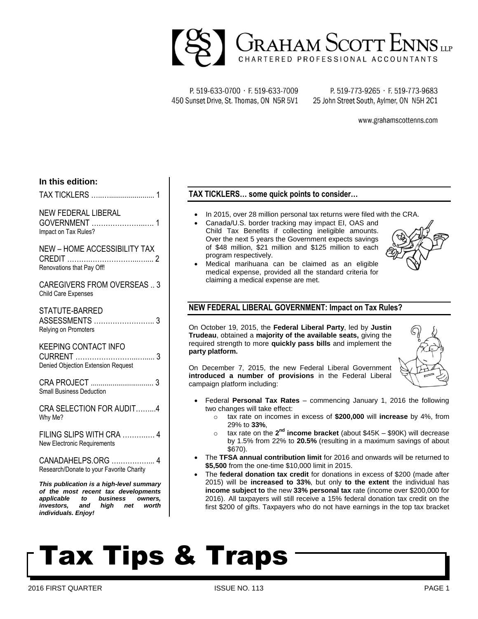

P. 519-633-0700 · F. 519-633-7009 450 Sunset Drive, St. Thomas, ON N5R 5V1

P. 519-773-9265 · F. 519-773-9683 25 John Street South, Aylmer, ON N5H 2C1

www.grahamscottenns.com

#### **In this edition:**

TAX TICKLERS …..…....................... 1

### NEW FEDERAL LIBERAL

GOVERNMENT …………………..…. 1 Impact on Tax Rules?

#### NEW – HOME ACCESSIBILITY TAX CREDIT ……….………………...….... 2 Renovations that Pay Off!

CAREGIVERS FROM OVERSEAS .. 3 Child Care Expenses

STATUTE-BARRED ASSESSMENTS …………………….. 3 Relying on Promoters

#### KEEPING CONTACT INFO

CURRENT ……………………...…..... 3 Denied Objection Extension Request

CRA PROJECT ................................ 3 Small Business Deduction

CRA SELECTION FOR AUDIT……...4 Why Me?

FILING SLIPS WITH CRA ……….…. 4 New Electronic Requirements

CANADAHELPS.ORG ….…………... 4 Research/Donate to your Favorite Charity

*This publication is a high-level summary of the most recent tax developments applicable to business owners, investors, and high net worth individuals. Enjoy!*

### **TAX TICKLERS… some quick points to consider…**

- In 2015, over 28 million personal tax returns were filed with the CRA.
- Canada/U.S. border tracking may impact EI, OAS and Child Tax Benefits if collecting ineligible amounts. Over the next 5 years the Government expects savings of \$48 million, \$21 million and \$125 million to each program respectively.



 Medical marihuana can be claimed as an eligible medical expense, provided all the standard criteria for claiming a medical expense are met.

### **NEW FEDERAL LIBERAL GOVERNMENT: Impact on Tax Rules?**

On October 19, 2015, the **Federal Liberal Party**, led by **Justin Trudeau**, obtained a **majority of the available seats,** giving the required strength to more **quickly pass bills** and implement the **party platform.** 



On December 7, 2015, the new Federal Liberal Government **introduced a number of provisions** in the Federal Liberal campaign platform including:

- Federal **Personal Tax Rates** commencing January 1, 2016 the following two changes will take effect:
	- o tax rate on incomes in excess of **\$200,000** will **increase** by 4%, from 29% to **33%**,
	- o tax rate on the 2<sup>nd</sup> income bracket (about \$45K \$90K) will decrease by 1.5% from 22% to **20.5%** (resulting in a maximum savings of about \$670).
- The **TFSA annual contribution limit** for 2016 and onwards will be returned to **\$5,500** from the one-time \$10,000 limit in 2015.
- The **federal donation tax credit** for donations in excess of \$200 (made after 2015) will be **increased to 33%**, but only **to the extent** the individual has **income subject to** the new **33% personal tax** rate (income over \$200,000 for 2016). All taxpayers will still receive a 15% federal donation tax credit on the first \$200 of gifts. Taxpayers who do not have earnings in the top tax bracket

# Tax Tips & Traps

2016 FIRST QUARTER ISSUE NO. 113 PAGE 1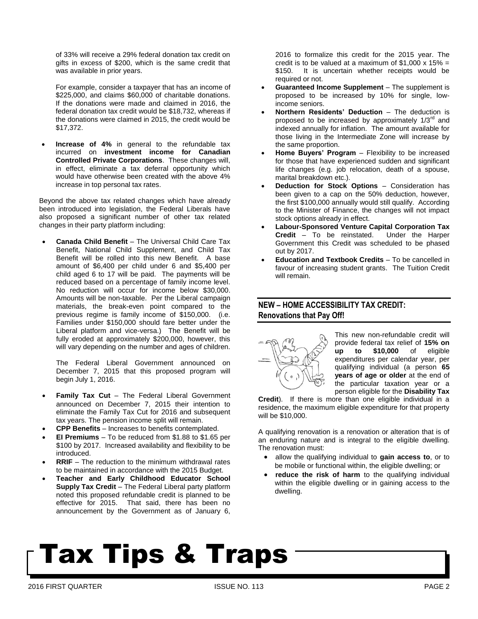of 33% will receive a 29% federal donation tax credit on gifts in excess of \$200, which is the same credit that was available in prior years.

For example, consider a taxpayer that has an income of \$225,000, and claims \$60,000 of charitable donations. If the donations were made and claimed in 2016, the federal donation tax credit would be \$18,732, whereas if the donations were claimed in 2015, the credit would be \$17,372.

 **Increase of 4%** in general to the refundable tax incurred on **investment income for Canadian Controlled Private Corporations**. These changes will, in effect, eliminate a tax deferral opportunity which would have otherwise been created with the above 4% increase in top personal tax rates.

Beyond the above tax related changes which have already been introduced into legislation, the Federal Liberals have also proposed a significant number of other tax related changes in their party platform including:

 **Canada Child Benefit** – The Universal Child Care Tax Benefit, National Child Supplement, and Child Tax Benefit will be rolled into this new Benefit. A base amount of \$6,400 per child under 6 and \$5,400 per child aged 6 to 17 will be paid. The payments will be reduced based on a percentage of family income level. No reduction will occur for income below \$30,000. Amounts will be non-taxable. Per the Liberal campaign materials, the break-even point compared to the previous regime is family income of \$150,000. (i.e. Families under \$150,000 should fare better under the Liberal platform and vice-versa.) The Benefit will be fully eroded at approximately \$200,000, however, this will vary depending on the number and ages of children.

The Federal Liberal Government announced on December 7, 2015 that this proposed program will begin July 1, 2016.

- **Family Tax Cut** The Federal Liberal Government announced on December 7, 2015 their intention to eliminate the Family Tax Cut for 2016 and subsequent tax years. The pension income split will remain.
- **CPP Benefits** Increases to benefits contemplated.
- **EI Premiums** To be reduced from \$1.88 to \$1.65 per \$100 by 2017. Increased availability and flexibility to be introduced.
- **RRIF** The reduction to the minimum withdrawal rates to be maintained in accordance with the 2015 Budget.
- **Teacher and Early Childhood Educator School Supply Tax Credit** – The Federal Liberal party platform noted this proposed refundable credit is planned to be effective for 2015. That said, there has been no announcement by the Government as of January 6,

2016 to formalize this credit for the 2015 year. The credit is to be valued at a maximum of  $$1,000 \times 15\% =$ \$150. It is uncertain whether receipts would be required or not.

- **Guaranteed Income Supplement** The supplement is proposed to be increased by 10% for single, lowincome seniors.
- **Northern Residents' Deduction** The deduction is proposed to be increased by approximately  $1/3^{rd}$  and indexed annually for inflation. The amount available for those living in the Intermediate Zone will increase by the same proportion.
- **Home Buyers' Program** Flexibility to be increased for those that have experienced sudden and significant life changes (e.g. job relocation, death of a spouse, marital breakdown etc.).
- **Deduction for Stock Options** Consideration has been given to a cap on the 50% deduction, however, the first \$100,000 annually would still qualify. According to the Minister of Finance, the changes will not impact stock options already in effect.
- **Labour-Sponsored Venture Capital Corporation Tax Credit** – To be reinstated. Under the Harper Government this Credit was scheduled to be phased out by 2017.
- **Education and Textbook Credits** To be cancelled in favour of increasing student grants. The Tuition Credit will remain.

### **NEW – HOME ACCESSIBILITY TAX CREDIT: Renovations that Pay Off!**



This new non-refundable credit will provide federal tax relief of **15% on up to \$10,000** of eligible expenditures per calendar year, per qualifying individual (a person **65 years of age or older** at the end of the particular taxation year or a person eligible for the **Disability Tax** 

**Credit**). If there is more than one eligible individual in a residence, the maximum eligible expenditure for that property will be \$10,000.

A qualifying renovation is a renovation or alteration that is of an enduring nature and is integral to the eligible dwelling. The renovation must:

- allow the qualifying individual to **gain access to**, or to be mobile or functional within, the eligible dwelling; or
- **reduce the risk of harm** to the qualifying individual within the eligible dwelling or in gaining access to the dwelling.

# Tax Tips & Traps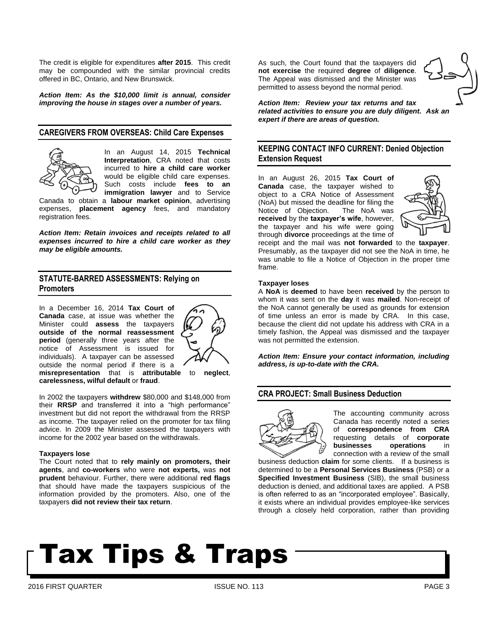The credit is eligible for expenditures **after 2015**.This credit may be compounded with the similar provincial credits offered in BC, Ontario, and New Brunswick.

*Action Item: As the \$10,000 limit is annual, consider improving the house in stages over a number of years.* 

#### **CAREGIVERS FROM OVERSEAS: Child Care Expenses**



In an August 14, 2015 **Technical Interpretation**, CRA noted that costs incurred to **hire a child care worker** would be eligible child care expenses. Such costs include **fees to an immigration lawyer** and to Service

Canada to obtain a **labour market opinion**, advertising expenses, **placement agency** fees, and mandatory registration fees.

*Action Item: Retain invoices and receipts related to all expenses incurred to hire a child care worker as they may be eligible amounts.* 

#### **STATUTE-BARRED ASSESSMENTS: Relying on Promoters**

In a December 16, 2014 **Tax Court of Canada** case, at issue was whether the Minister could **assess** the taxpayers **outside of the normal reassessment period** (generally three years after the notice of Assessment is issued for individuals). A taxpayer can be assessed outside the normal period if there is a



**misrepresentation** that is **attributable** to **neglect**, **carelessness, wilful default** or **fraud**.

In 2002 the taxpayers **withdrew** \$80,000 and \$148,000 from their **RRSP** and transferred it into a "high performance" investment but did not report the withdrawal from the RRSP as income. The taxpayer relied on the promoter for tax filing advice. In 2009 the Minister assessed the taxpayers with income for the 2002 year based on the withdrawals.

#### **Taxpayers lose**

The Court noted that to **rely mainly on promoters, their agents**, and **co-workers** who were **not experts,** was **not prudent** behaviour. Further, there were additional **red flags**  that should have made the taxpayers suspicious of the information provided by the promoters. Also, one of the taxpayers **did not review their tax return**.

As such, the Court found that the taxpayers did **not exercise** the required **degree** of **diligence**. The Appeal was dismissed and the Minister was permitted to assess beyond the normal period.



*Action Item: Review your tax returns and tax related activities to ensure you are duly diligent. Ask an expert if there are areas of question.*

#### **KEEPING CONTACT INFO CURRENT: Denied Objection Extension Request**

In an August 26, 2015 **Tax Court of Canada** case, the taxpayer wished to object to a CRA Notice of Assessment (NoA) but missed the deadline for filing the Notice of Objection. The NoA was **received** by the **taxpayer's wife**, however, the taxpayer and his wife were going through **divorce** proceedings at the time of



receipt and the mail was **not forwarded** to the **taxpayer**. Presumably, as the taxpayer did not see the NoA in time, he was unable to file a Notice of Objection in the proper time frame.

#### **Taxpayer loses**

A **NoA** is **deemed** to have been **received** by the person to whom it was sent on the **day** it was **mailed**. Non-receipt of the NoA cannot generally be used as grounds for extension of time unless an error is made by CRA. In this case, because the client did not update his address with CRA in a timely fashion, the Appeal was dismissed and the taxpayer was not permitted the extension.

*Action Item: Ensure your contact information, including address, is up-to-date with the CRA.* 

#### **CRA PROJECT: Small Business Deduction**



The accounting community across Canada has recently noted a series of **correspondence from CRA** requesting details of **corporate businesses operations** in connection with a review of the small

business deduction **claim** for some clients. If a business is determined to be a **Personal Services Business** (PSB) or a **Specified Investment Business** (SIB), the small business deduction is denied, and additional taxes are applied. A PSB is often referred to as an "incorporated employee". Basically, it exists where an individual provides employee-like services through a closely held corporation, rather than providing

# Tax Tips & Traps